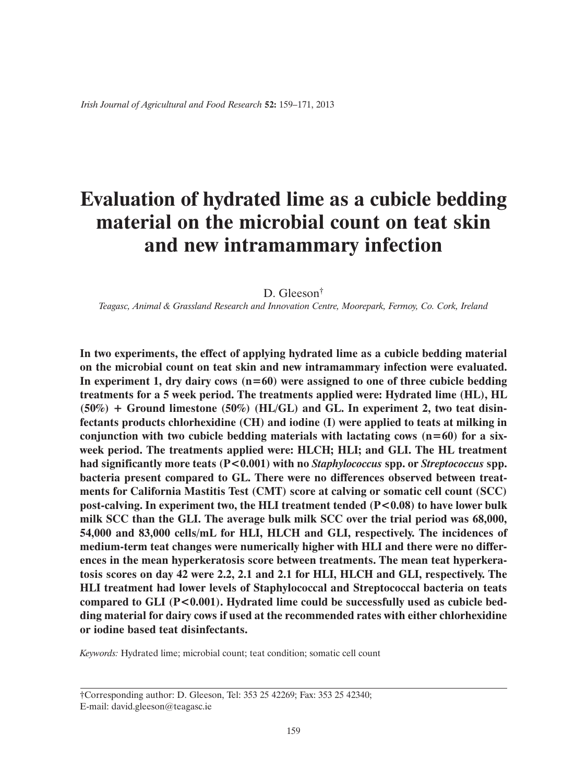# **Evaluation of hydrated lime as a cubicle bedding material on the microbial count on teat skin and new intramammary infection**

#### D. Gleeson<sup>†</sup>

*Teagasc, Animal & Grassland Research and Innovation Centre, Moorepark, Fermoy, Co. Cork, Ireland*

**In two experiments, the effect of applying hydrated lime as a cubicle bedding material on the microbial count on teat skin and new intramammary infection were evaluated. In experiment 1, dry dairy cows (n=60) were assigned to one of three cubicle bedding treatments for a 5 week period. The treatments applied were: Hydrated lime (HL), HL (50%) + Ground limestone (50%) (HL/GL) and GL. In experiment 2, two teat disinfectants products chlorhexidine (CH) and iodine (I) were applied to teats at milking in conjunction with two cubicle bedding materials with lactating cows (n=60) for a sixweek period. The treatments applied were: HLCH; HLI; and GLI. The HL treatment had significantly more teats (P<0.001) with no** *Staphylococcus* **spp. or** *Streptococcus* **spp. bacteria present compared to GL. There were no differences observed between treatments for California Mastitis Test (CMT) score at calving or somatic cell count (SCC)**  post-calving. In experiment two, the HLI treatment tended  $(P<0.08)$  to have lower bulk **milk SCC than the GLI. The average bulk milk SCC over the trial period was 68,000, 54,000 and 83,000 cells/mL for HLI, HLCH and GLI, respectively. The incidences of medium-term teat changes were numerically higher with HLI and there were no differences in the mean hyperkeratosis score between treatments. The mean teat hyperkeratosis scores on day 42 were 2.2, 2.1 and 2.1 for HLI, HLCH and GLI, respectively. The HLI treatment had lower levels of Staphylococcal and Streptococcal bacteria on teats**  compared to GLI (P<0.001). Hydrated lime could be successfully used as cubicle bed**ding material for dairy cows if used at the recommended rates with either chlorhexidine or iodine based teat disinfectants.**

*Keywords:* Hydrated lime; microbial count; teat condition; somatic cell count

†Corresponding author: D. Gleeson, Tel: 353 25 42269; Fax: 353 25 42340; E-mail: david.gleeson@teagasc.ie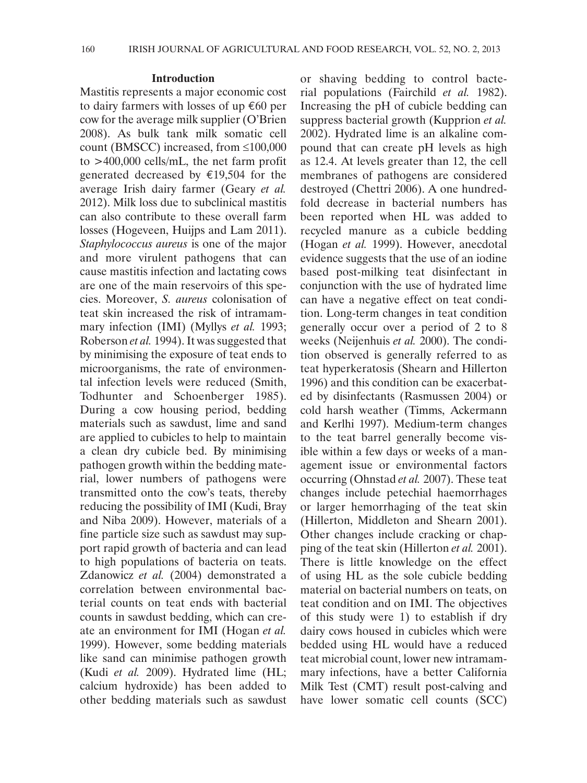#### **Introduction**

Mastitis represents a major economic cost to dairy farmers with losses of up €60 per cow for the average milk supplier (O'Brien 2008). As bulk tank milk somatic cell count (BMSCC) increased, from ≤100,000 to >400,000 cells/mL, the net farm profit generated decreased by €19,504 for the average Irish dairy farmer (Geary *et al.* 2012). Milk loss due to subclinical mastitis can also contribute to these overall farm losses (Hogeveen, Huijps and Lam 2011). *Staphylococcus aureus* is one of the major and more virulent pathogens that can cause mastitis infection and lactating cows are one of the main reservoirs of this species. Moreover, *S. aureus* colonisation of teat skin increased the risk of intramammary infection (IMI) (Myllys *et al.* 1993; Roberson *et al.* 1994). It was suggested that by minimising the exposure of teat ends to microorganisms, the rate of environmental infection levels were reduced (Smith, Todhunter and Schoenberger 1985). During a cow housing period, bedding materials such as sawdust, lime and sand are applied to cubicles to help to maintain a clean dry cubicle bed. By minimising pathogen growth within the bedding material, lower numbers of pathogens were transmitted onto the cow's teats, thereby reducing the possibility of IMI (Kudi, Bray and Niba 2009). However, materials of a fine particle size such as sawdust may support rapid growth of bacteria and can lead to high populations of bacteria on teats. Zdanowicz *et al.* (2004) demonstrated a correlation between environmental bacterial counts on teat ends with bacterial counts in sawdust bedding, which can create an environment for IMI (Hogan *et al.* 1999). However, some bedding materials like sand can minimise pathogen growth (Kudi *et al.* 2009). Hydrated lime (HL; calcium hydroxide) has been added to other bedding materials such as sawdust or shaving bedding to control bacterial populations (Fairchild *et al.* 1982). Increasing the pH of cubicle bedding can suppress bacterial growth (Kupprion *et al.* 2002). Hydrated lime is an alkaline compound that can create pH levels as high as 12.4. At levels greater than 12, the cell membranes of pathogens are considered destroyed (Chettri 2006). A one hundredfold decrease in bacterial numbers has been reported when HL was added to recycled manure as a cubicle bedding (Hogan *et al.* 1999). However, anecdotal evidence suggests that the use of an iodine based post-milking teat disinfectant in conjunction with the use of hydrated lime can have a negative effect on teat condition. Long-term changes in teat condition generally occur over a period of 2 to 8 weeks (Neijenhuis *et al.* 2000). The condition observed is generally referred to as teat hyperkeratosis (Shearn and Hillerton 1996) and this condition can be exacerbated by disinfectants (Rasmussen 2004) or cold harsh weather (Timms, Ackermann and Kerlhi 1997). Medium-term changes to the teat barrel generally become visible within a few days or weeks of a management issue or environmental factors occurring (Ohnstad *et al.* 2007). These teat changes include petechial haemorrhages or larger hemorrhaging of the teat skin (Hillerton, Middleton and Shearn 2001). Other changes include cracking or chapping of the teat skin (Hillerton *et al.* 2001). There is little knowledge on the effect of using HL as the sole cubicle bedding material on bacterial numbers on teats, on teat condition and on IMI. The objectives of this study were 1) to establish if dry dairy cows housed in cubicles which were bedded using HL would have a reduced teat microbial count, lower new intramammary infections, have a better California Milk Test (CMT) result post-calving and have lower somatic cell counts (SCC)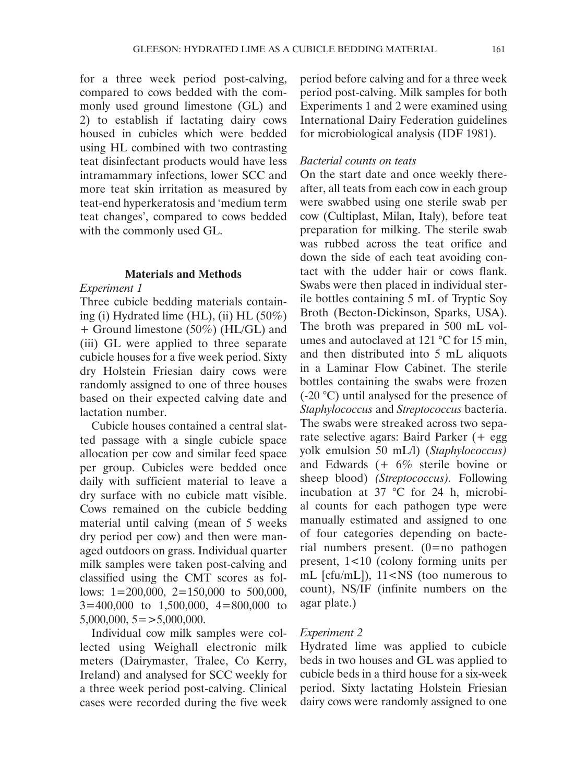for a three week period post-calving, compared to cows bedded with the commonly used ground limestone (GL) and 2) to establish if lactating dairy cows housed in cubicles which were bedded using HL combined with two contrasting teat disinfectant products would have less intramammary infections, lower SCC and more teat skin irritation as measured by teat-end hyperkeratosis and 'medium term teat changes', compared to cows bedded with the commonly used GL.

## **Materials and Methods**

# *Experiment 1*

Three cubicle bedding materials containing (i) Hydrated lime (HL), (ii) HL (50%) + Ground limestone (50%) (HL/GL) and (iii) GL were applied to three separate cubicle houses for a five week period. Sixty dry Holstein Friesian dairy cows were randomly assigned to one of three houses based on their expected calving date and lactation number.

Cubicle houses contained a central slatted passage with a single cubicle space allocation per cow and similar feed space per group. Cubicles were bedded once daily with sufficient material to leave a dry surface with no cubicle matt visible. Cows remained on the cubicle bedding material until calving (mean of 5 weeks dry period per cow) and then were managed outdoors on grass. Individual quarter milk samples were taken post-calving and classified using the CMT scores as follows: 1=200,000, 2=150,000 to 500,000, 3=400,000 to 1,500,000, 4=800,000 to  $5,000,000, 5 = >5,000,000.$ 

Individual cow milk samples were collected using Weighall electronic milk meters (Dairymaster, Tralee, Co Kerry, Ireland) and analysed for SCC weekly for a three week period post-calving. Clinical cases were recorded during the five week

period before calving and for a three week period post-calving. Milk samples for both Experiments 1 and 2 were examined using International Dairy Federation guidelines for microbiological analysis (IDF 1981).

## *Bacterial counts on teats*

On the start date and once weekly thereafter, all teats from each cow in each group were swabbed using one sterile swab per cow (Cultiplast, Milan, Italy), before teat preparation for milking. The sterile swab was rubbed across the teat orifice and down the side of each teat avoiding contact with the udder hair or cows flank. Swabs were then placed in individual sterile bottles containing 5 mL of Tryptic Soy Broth (Becton-Dickinson, Sparks, USA). The broth was prepared in 500 mL volumes and autoclaved at 121 °C for 15 min, and then distributed into 5 mL aliquots in a Laminar Flow Cabinet. The sterile bottles containing the swabs were frozen (-20 °C) until analysed for the presence of *Staphylococcus* and *Streptococcus* bacteria. The swabs were streaked across two separate selective agars: Baird Parker (+ egg yolk emulsion 50 mL/l) (*Staphylococcus)*  and Edwards (+ 6% sterile bovine or sheep blood) *(Streptococcus).* Following incubation at 37 °C for 24 h, microbial counts for each pathogen type were manually estimated and assigned to one of four categories depending on bacterial numbers present. (0=no pathogen present, 1<10 (colony forming units per mL [cfu/mL]), 11<NS (too numerous to count), NS/IF (infinite numbers on the agar plate.)

## *Experiment 2*

Hydrated lime was applied to cubicle beds in two houses and GL was applied to cubicle beds in a third house for a six-week period. Sixty lactating Holstein Friesian dairy cows were randomly assigned to one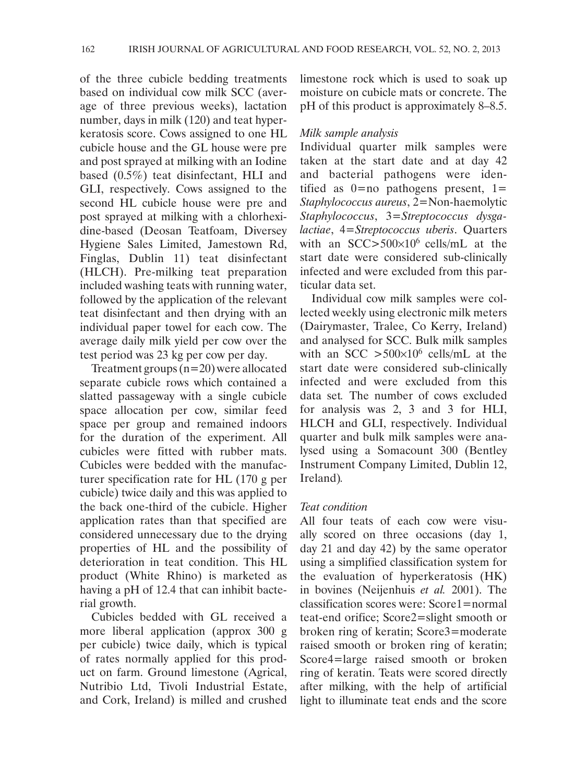of the three cubicle bedding treatments based on individual cow milk SCC (average of three previous weeks), lactation number, days in milk (120) and teat hyperkeratosis score. Cows assigned to one HL cubicle house and the GL house were pre and post sprayed at milking with an Iodine based (0.5%) teat disinfectant, HLI and GLI, respectively. Cows assigned to the second HL cubicle house were pre and post sprayed at milking with a chlorhexidine-based (Deosan Teatfoam, Diversey Hygiene Sales Limited, Jamestown Rd, Finglas, Dublin 11) teat disinfectant (HLCH). Pre-milking teat preparation included washing teats with running water, followed by the application of the relevant teat disinfectant and then drying with an individual paper towel for each cow. The average daily milk yield per cow over the test period was 23 kg per cow per day.

Treatment groups  $(n=20)$  were allocated separate cubicle rows which contained a slatted passageway with a single cubicle space allocation per cow, similar feed space per group and remained indoors for the duration of the experiment. All cubicles were fitted with rubber mats. Cubicles were bedded with the manufacturer specification rate for HL (170 g per cubicle) twice daily and this was applied to the back one-third of the cubicle. Higher application rates than that specified are considered unnecessary due to the drying properties of HL and the possibility of deterioration in teat condition. This HL product (White Rhino) is marketed as having a pH of 12.4 that can inhibit bacterial growth.

Cubicles bedded with GL received a more liberal application (approx 300 g per cubicle) twice daily, which is typical of rates normally applied for this product on farm. Ground limestone (Agrical, Nutribio Ltd, Tivoli Industrial Estate, and Cork, Ireland) is milled and crushed limestone rock which is used to soak up moisture on cubicle mats or concrete. The pH of this product is approximately 8–8.5.

## *Milk sample analysis*

Individual quarter milk samples were taken at the start date and at day 42 and bacterial pathogens were identified as  $0=$ no pathogens present,  $1=$ *Staphylococcus aureus*, 2=Non-haemolytic *Staphylococcus*, 3=*Streptococcus dysgalactiae*, 4=*Streptococcus uberis*. Quarters with an  $SCC > 500 \times 10^6$  cells/mL at the start date were considered sub-clinically infected and were excluded from this particular data set.

Individual cow milk samples were collected weekly using electronic milk meters (Dairymaster, Tralee, Co Kerry, Ireland) and analysed for SCC. Bulk milk samples with an SCC  $>500\times10^6$  cells/mL at the start date were considered sub-clinically infected and were excluded from this data set*.* The number of cows excluded for analysis was 2, 3 and 3 for HLI, HLCH and GLI, respectively. Individual quarter and bulk milk samples were analysed using a Somacount 300 (Bentley Instrument Company Limited, Dublin 12, Ireland)*.*

# *Teat condition*

All four teats of each cow were visually scored on three occasions (day 1, day 21 and day 42) by the same operator using a simplified classification system for the evaluation of hyperkeratosis (HK) in bovines (Neijenhuis *et al.* 2001). The classification scores were: Score1=normal teat-end orifice; Score2=slight smooth or broken ring of keratin; Score3=moderate raised smooth or broken ring of keratin; Score4=large raised smooth or broken ring of keratin. Teats were scored directly after milking, with the help of artificial light to illuminate teat ends and the score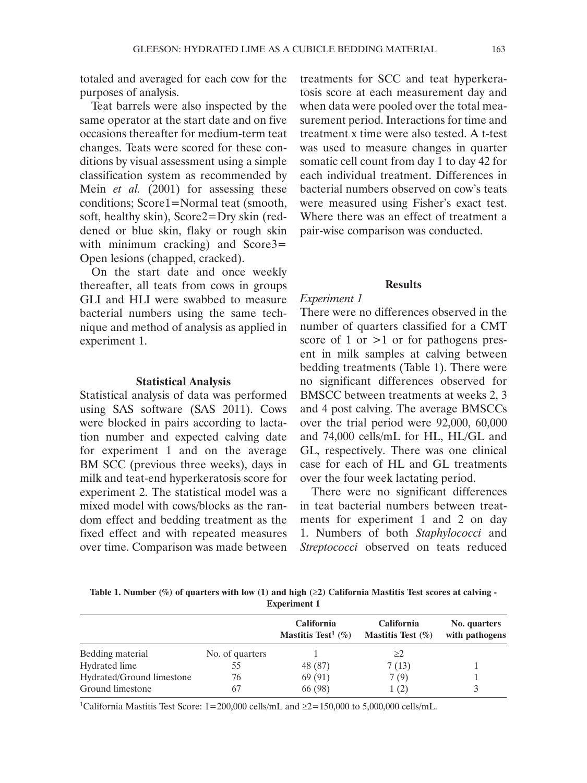totaled and averaged for each cow for the purposes of analysis.

Teat barrels were also inspected by the same operator at the start date and on five occasions thereafter for medium-term teat changes. Teats were scored for these conditions by visual assessment using a simple classification system as recommended by Mein *et al.* (2001) for assessing these conditions; Score1=Normal teat (smooth, soft, healthy skin), Score2=Dry skin (reddened or blue skin, flaky or rough skin with minimum cracking) and Score3= Open lesions (chapped, cracked).

On the start date and once weekly thereafter, all teats from cows in groups GLI and HLI were swabbed to measure bacterial numbers using the same technique and method of analysis as applied in experiment 1.

#### **Statistical Analysis**

Statistical analysis of data was performed using SAS software (SAS 2011). Cows were blocked in pairs according to lactation number and expected calving date for experiment 1 and on the average BM SCC (previous three weeks), days in milk and teat-end hyperkeratosis score for experiment 2. The statistical model was a mixed model with cows/blocks as the random effect and bedding treatment as the fixed effect and with repeated measures over time. Comparison was made between

treatments for SCC and teat hyperkeratosis score at each measurement day and when data were pooled over the total measurement period. Interactions for time and treatment x time were also tested. A t-test was used to measure changes in quarter somatic cell count from day 1 to day 42 for each individual treatment. Differences in bacterial numbers observed on cow's teats were measured using Fisher's exact test. Where there was an effect of treatment a pair-wise comparison was conducted.

## **Results**

## *Experiment 1*

There were no differences observed in the number of quarters classified for a CMT score of 1 or  $>1$  or for pathogens present in milk samples at calving between bedding treatments (Table 1). There were no significant differences observed for BMSCC between treatments at weeks 2, 3 and 4 post calving. The average BMSCCs over the trial period were 92,000, 60,000 and 74,000 cells/mL for HL, HL/GL and GL, respectively. There was one clinical case for each of HL and GL treatments over the four week lactating period.

There were no significant differences in teat bacterial numbers between treatments for experiment 1 and 2 on day 1. Numbers of both *Staphylococci* and *Streptococci* observed on teats reduced

**Table 1. Number (%) of quarters with low (1) and high (**≥**2) California Mastitis Test scores at calving - Experiment 1**

|                           |                 | <b>California</b><br>Mastitis Test <sup>1</sup> $(\%)$ | <b>California</b><br>Mastitis Test $(\% )$ | No. quarters<br>with pathogens |
|---------------------------|-----------------|--------------------------------------------------------|--------------------------------------------|--------------------------------|
| Bedding material          | No. of quarters |                                                        | >2                                         |                                |
| Hydrated lime             | 55              | 48 (87)                                                | 7(13)                                      |                                |
| Hydrated/Ground limestone | 76              | 69(91)                                                 | 7(9)                                       |                                |
| Ground limestone          | 67              | 66 (98)                                                | 1(2)                                       |                                |

<sup>1</sup>California Mastitis Test Score:  $1=200,000$  cells/mL and  $\geq 2=150,000$  to 5,000,000 cells/mL.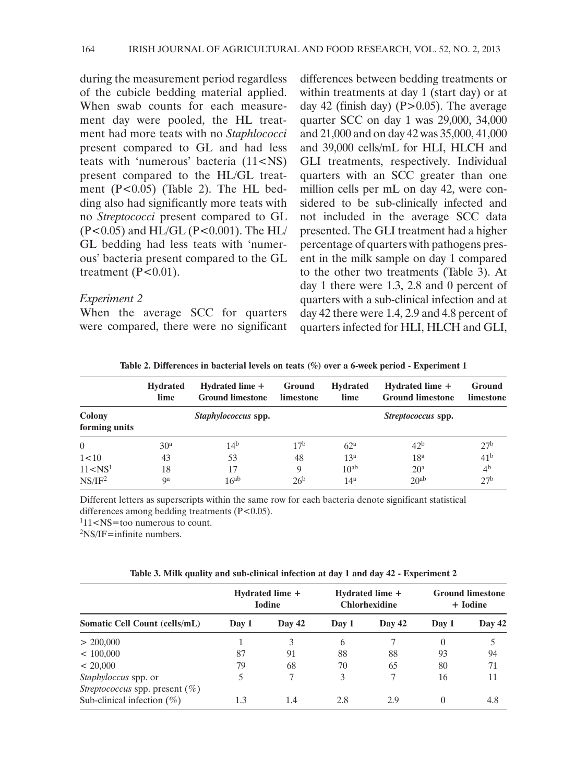during the measurement period regardless of the cubicle bedding material applied. When swab counts for each measurement day were pooled, the HL treatment had more teats with no *Staphlococci* present compared to GL and had less teats with 'numerous' bacteria (11<NS) present compared to the HL/GL treatment (P<0.05) (Table 2). The HL bedding also had significantly more teats with no *Streptococci* present compared to GL (P<0.05) and HL/GL (P<0.001). The HL/ GL bedding had less teats with 'numerous' bacteria present compared to the GL treatment  $(P<0.01)$ .

## *Experiment 2*

When the average SCC for quarters were compared, there were no significant

differences between bedding treatments or within treatments at day 1 (start day) or at day 42 (finish day) ( $P > 0.05$ ). The average quarter SCC on day 1 was 29,000, 34,000 and 21,000 and on day 42 was 35,000, 41,000 and 39,000 cells/mL for HLI, HLCH and GLI treatments, respectively. Individual quarters with an SCC greater than one million cells per mL on day 42, were considered to be sub-clinically infected and not included in the average SCC data presented. The GLI treatment had a higher percentage of quarters with pathogens present in the milk sample on day 1 compared to the other two treatments (Table 3). At day 1 there were 1.3, 2.8 and 0 percent of quarters with a sub-clinical infection and at day 42 there were 1.4, 2.9 and 4.8 percent of quarters infected for HLI, HLCH and GLI,

**Table 2. Differences in bacterial levels on teats (%) over a 6-week period - Experiment 1**

|                                                | <b>Hydrated</b><br>lime | Hydrated lime +<br><b>Ground limestone</b> | Ground<br>limestone | <b>Hydrated</b><br>lime | Hydrated lime +<br><b>Ground limestone</b> | Ground<br>limestone |
|------------------------------------------------|-------------------------|--------------------------------------------|---------------------|-------------------------|--------------------------------------------|---------------------|
| Colony<br>Staphylococcus spp.<br>forming units |                         |                                            | Streptococcus spp.  |                         |                                            |                     |
| $\Omega$                                       | 30 <sup>a</sup>         | 14 <sup>b</sup>                            | 17 <sup>b</sup>     | 62 <sup>a</sup>         | 42 <sup>b</sup>                            | 27 <sup>b</sup>     |
| 1<10                                           | 43                      | 53                                         | 48                  | 13 <sup>a</sup>         | 18 <sup>a</sup>                            | 41 <sup>b</sup>     |
| 11 < NS <sup>1</sup>                           | 18                      | 17                                         | 9                   | 10 <sup>ab</sup>        | 20 <sup>a</sup>                            | 4 <sup>b</sup>      |
| NS/IF <sup>2</sup>                             | qa                      | $16^{ab}$                                  | 26 <sup>b</sup>     | 14 <sup>a</sup>         | $20^{ab}$                                  | 27 <sup>b</sup>     |

Different letters as superscripts within the same row for each bacteria denote significant statistical differences among bedding treatments  $(P<0.05)$ .

 $111$  <NS=too numerous to count.

 $2$ NS/IF=infinite numbers.

| Table 3. Milk quality and sub-clinical infection at day 1 and day 42 - Experiment 2 |  |  |  |  |
|-------------------------------------------------------------------------------------|--|--|--|--|
|-------------------------------------------------------------------------------------|--|--|--|--|

|                                                                           | Hydrated lime +<br><b>Iodine</b> |        | Hydrated lime +<br><b>Chlorhexidine</b> |        | <b>Ground limestone</b><br>+ Iodine |        |
|---------------------------------------------------------------------------|----------------------------------|--------|-----------------------------------------|--------|-------------------------------------|--------|
| <b>Somatic Cell Count (cells/mL)</b>                                      | Day 1                            | Day 42 | Day 1                                   | Day 42 | Day 1                               | Day 42 |
| > 200,000                                                                 |                                  | 3      | 6                                       |        | 0                                   |        |
| < 100,000                                                                 | 87                               | 91     | 88                                      | 88     | 93                                  | 94     |
| < 20,000                                                                  | 79                               | 68     | 70                                      | 65     | 80                                  | 71     |
| Staphyloccus spp. or                                                      | 5                                |        | 3                                       |        | 16                                  | 11     |
| <i>Streptococcus</i> spp. present $(\%)$<br>Sub-clinical infection $(\%)$ | 1.3                              | 1.4    | 2.8                                     | 2.9    | 0                                   | 4.8    |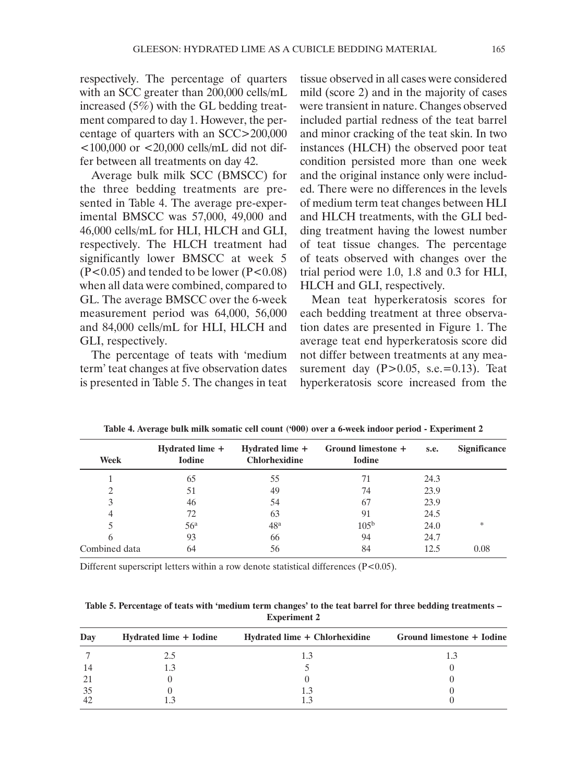respectively. The percentage of quarters with an SCC greater than 200,000 cells/mL increased (5%) with the GL bedding treatment compared to day 1. However, the percentage of quarters with an SCC>200,000  $<$ 100,000 or  $<$ 20,000 cells/mL did not differ between all treatments on day 42.

Average bulk milk SCC (BMSCC) for the three bedding treatments are presented in Table 4. The average pre-experimental BMSCC was 57,000, 49,000 and 46,000 cells/mL for HLI, HLCH and GLI, respectively. The HLCH treatment had significantly lower BMSCC at week 5  $(P<0.05)$  and tended to be lower  $(P<0.08)$ when all data were combined, compared to GL. The average BMSCC over the 6-week measurement period was 64,000, 56,000 and 84,000 cells/mL for HLI, HLCH and GLI, respectively.

The percentage of teats with 'medium term' teat changes at five observation dates is presented in Table 5. The changes in teat

tissue observed in all cases were considered mild (score 2) and in the majority of cases were transient in nature. Changes observed included partial redness of the teat barrel and minor cracking of the teat skin. In two instances (HLCH) the observed poor teat condition persisted more than one week and the original instance only were included. There were no differences in the levels of medium term teat changes between HLI and HLCH treatments, with the GLI bedding treatment having the lowest number of teat tissue changes. The percentage of teats observed with changes over the trial period were 1.0, 1.8 and 0.3 for HLI, HLCH and GLI, respectively.

Mean teat hyperkeratosis scores for each bedding treatment at three observation dates are presented in Figure 1. The average teat end hyperkeratosis score did not differ between treatments at any measurement day  $(P>0.05, s.e.=0.13)$ . Teat hyperkeratosis score increased from the

| Week          | Hydrated lime +<br><b>Iodine</b> | Hydrated lime +<br><b>Chlorhexidine</b> | Ground limestone +<br><b>Iodine</b> | s.e. | <b>Significance</b> |
|---------------|----------------------------------|-----------------------------------------|-------------------------------------|------|---------------------|
|               | 65                               | 55                                      | 71                                  | 24.3 |                     |
|               | 51                               | 49                                      | 74                                  | 23.9 |                     |
|               | 46                               | 54                                      | 67                                  | 23.9 |                     |
| 4             | 72                               | 63                                      | 91                                  | 24.5 |                     |
|               | 56 <sup>a</sup>                  | 48 <sup>a</sup>                         | 105 <sup>b</sup>                    | 24.0 | *                   |
| 6             | 93                               | 66                                      | 94                                  | 24.7 |                     |
| Combined data | 64                               | 56                                      | 84                                  | 12.5 | 0.08                |

**Table 4. Average bulk milk somatic cell count ('000) over a 6-week indoor period - Experiment 2**

Different superscript letters within a row denote statistical differences  $(P<0.05)$ .

**Table 5. Percentage of teats with 'medium term changes' to the teat barrel for three bedding treatments – Experiment 2**

| Dav | Hydrated lime + Iodine | Hydrated lime + Chlorhexidine | Ground limestone + Iodine |
|-----|------------------------|-------------------------------|---------------------------|
|     | 2.5                    |                               |                           |
| 14  |                        |                               |                           |
| 21  |                        |                               |                           |
| -35 |                        |                               |                           |
| 42  |                        |                               |                           |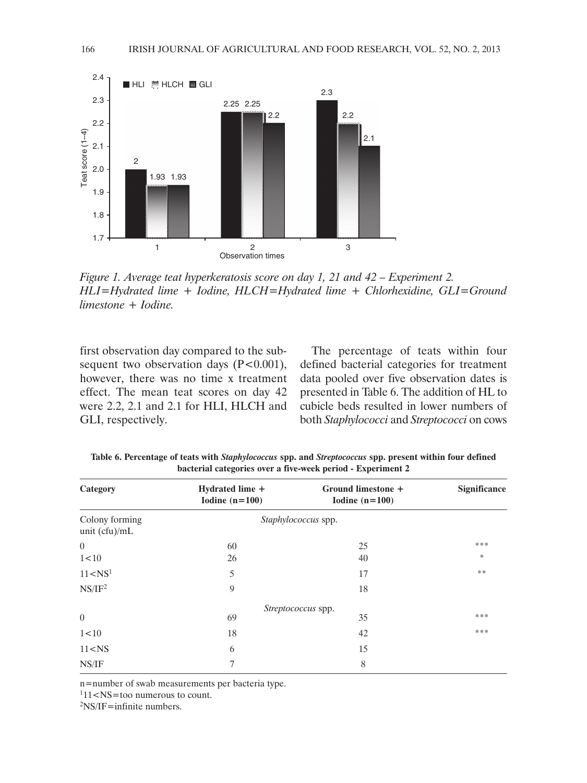

*Figure 1. Average teat hyperkeratosis score on day 1, 21 and 42 – Experiment 2. HLI=Hydrated lime + Iodine, HLCH=Hydrated lime + Chlorhexidine, GLI=Ground limestone + Iodine.*

first observation day compared to the subsequent two observation days  $(P<0.001)$ , however, there was no time x treatment effect. The mean teat scores on day 42 were 2.2, 2.1 and 2.1 for HLI, HLCH and GLI, respectively.

The percentage of teats within four defined bacterial categories for treatment data pooled over five observation dates is presented in Table 6. The addition of HL to cubicle beds resulted in lower numbers of both *Staphylococci* and *Streptococci* on cows

| Category                          | Hydrated lime +<br>Iodine $(n=100)$ | Ground limestone +<br>Iodine $(n=100)$ | Significance |
|-----------------------------------|-------------------------------------|----------------------------------------|--------------|
| Colony forming<br>unit $(cfu)/mL$ |                                     | Staphylococcus spp.                    |              |
| $\Omega$                          | 60                                  | 25                                     | ***          |
| 1<10                              | 26                                  | 40                                     | $\ast$       |
| 11 < NS <sup>1</sup>              | 5                                   | 17                                     | **           |
| NS/IF <sup>2</sup>                | 9                                   | 18                                     |              |
|                                   |                                     | Streptococcus spp.                     |              |
| $\overline{0}$                    | 69                                  | 35                                     | ***          |
| 1<10                              | 18                                  | 42                                     | ***          |
| 11 < NS                           | 6                                   | 15                                     |              |
| NS/IF                             | 7                                   | 8                                      |              |

**Table 6. Percentage of teats with** *Staphylococcus* **spp. and** *Streptococcus* **spp. present within four defined bacterial categories over a five-week period - Experiment 2**

n=number of swab measurements per bacteria type.

 $111$  <NS=too numerous to count.

 $2$ NS/IF=infinite numbers.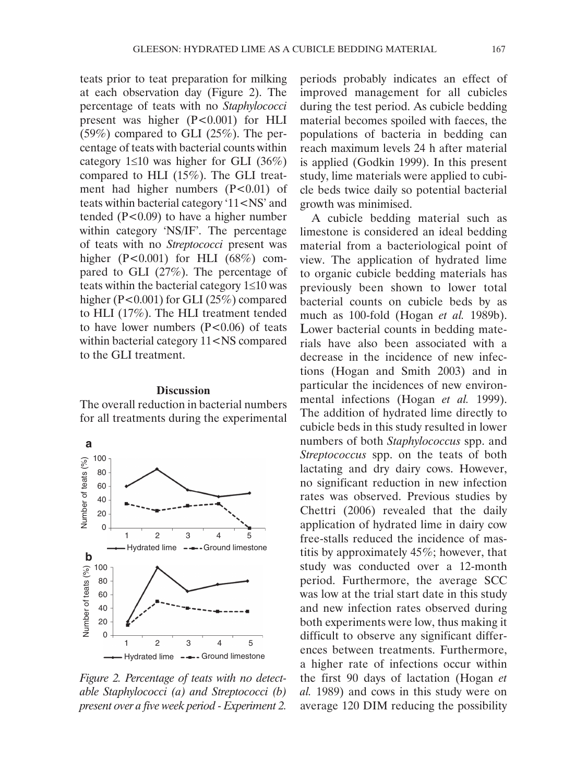teats prior to teat preparation for milking at each observation day (Figure 2). The percentage of teats with no *Staphylococci* present was higher (P<0.001) for HLI (59%) compared to GLI (25%). The percentage of teats with bacterial counts within category  $1 \le 10$  was higher for GLI (36%) compared to HLI (15%). The GLI treatment had higher numbers  $(P<0.01)$  of teats within bacterial category '11<NS' and tended (P<0.09) to have a higher number within category 'NS/IF'. The percentage of teats with no *Streptococci* present was higher (P<0.001) for HLI (68%) compared to GLI (27%). The percentage of teats within the bacterial category 1≤10 was higher (P<0.001) for GLI (25%) compared to HLI (17%). The HLI treatment tended to have lower numbers  $(P<0.06)$  of teats within bacterial category 11<NS compared to the GLI treatment.

## **Discussion**

The overall reduction in bacterial numbers for all treatments during the experimental



*Figure 2. Percentage of teats with no detectable Staphylococci (a) and Streptococci (b) present over a five week period - Experiment 2.*

periods probably indicates an effect of improved management for all cubicles during the test period. As cubicle bedding material becomes spoiled with faeces, the populations of bacteria in bedding can reach maximum levels 24 h after material is applied (Godkin 1999). In this present study, lime materials were applied to cubicle beds twice daily so potential bacterial growth was minimised.

A cubicle bedding material such as limestone is considered an ideal bedding material from a bacteriological point of view. The application of hydrated lime to organic cubicle bedding materials has previously been shown to lower total bacterial counts on cubicle beds by as much as 100-fold (Hogan *et al.* 1989b). Lower bacterial counts in bedding materials have also been associated with a decrease in the incidence of new infections (Hogan and Smith 2003) and in particular the incidences of new environmental infections (Hogan *et al.* 1999). The addition of hydrated lime directly to cubicle beds in this study resulted in lower numbers of both *Staphylococcus* spp. and *Streptococcus* spp. on the teats of both lactating and dry dairy cows. However, no significant reduction in new infection rates was observed. Previous studies by Chettri (2006) revealed that the daily application of hydrated lime in dairy cow free-stalls reduced the incidence of mastitis by approximately 45%; however, that study was conducted over a 12-month period. Furthermore, the average SCC was low at the trial start date in this study and new infection rates observed during both experiments were low, thus making it difficult to observe any significant differences between treatments. Furthermore, a higher rate of infections occur within the first 90 days of lactation (Hogan *et al.* 1989) and cows in this study were on average 120 DIM reducing the possibility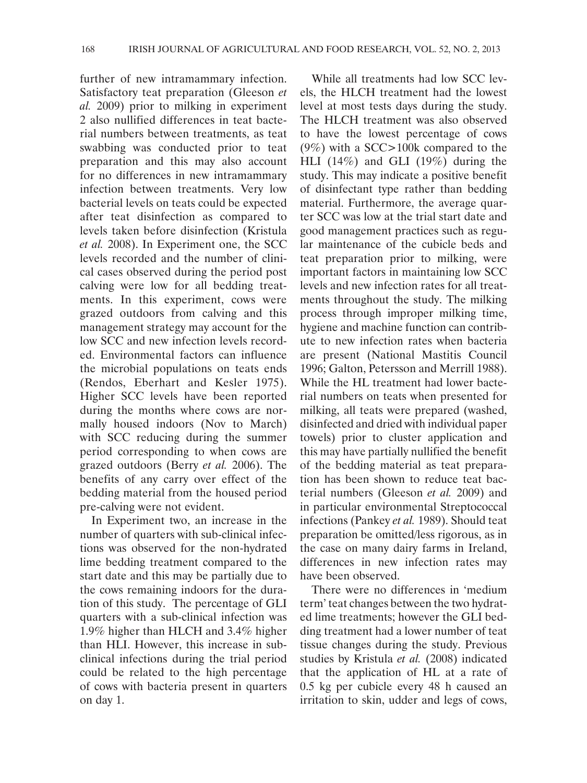further of new intramammary infection. Satisfactory teat preparation (Gleeson *et al.* 2009) prior to milking in experiment 2 also nullified differences in teat bacterial numbers between treatments, as teat swabbing was conducted prior to teat preparation and this may also account for no differences in new intramammary infection between treatments. Very low bacterial levels on teats could be expected after teat disinfection as compared to levels taken before disinfection (Kristula *et al.* 2008). In Experiment one, the SCC levels recorded and the number of clinical cases observed during the period post calving were low for all bedding treatments. In this experiment, cows were grazed outdoors from calving and this management strategy may account for the low SCC and new infection levels recorded. Environmental factors can influence the microbial populations on teats ends (Rendos, Eberhart and Kesler 1975). Higher SCC levels have been reported during the months where cows are normally housed indoors (Nov to March) with SCC reducing during the summer period corresponding to when cows are grazed outdoors (Berry *et al.* 2006). The benefits of any carry over effect of the bedding material from the housed period pre-calving were not evident.

In Experiment two, an increase in the number of quarters with sub-clinical infections was observed for the non-hydrated lime bedding treatment compared to the start date and this may be partially due to the cows remaining indoors for the duration of this study. The percentage of GLI quarters with a sub-clinical infection was 1.9% higher than HLCH and 3.4% higher than HLI. However, this increase in subclinical infections during the trial period could be related to the high percentage of cows with bacteria present in quarters on day 1.

While all treatments had low SCC levels, the HLCH treatment had the lowest level at most tests days during the study. The HLCH treatment was also observed to have the lowest percentage of cows (9%) with a SCC>100k compared to the HLI (14%) and GLI (19%) during the study. This may indicate a positive benefit of disinfectant type rather than bedding material. Furthermore, the average quarter SCC was low at the trial start date and good management practices such as regular maintenance of the cubicle beds and teat preparation prior to milking, were important factors in maintaining low SCC levels and new infection rates for all treatments throughout the study. The milking process through improper milking time, hygiene and machine function can contribute to new infection rates when bacteria are present (National Mastitis Council 1996; Galton, Petersson and Merrill 1988). While the HL treatment had lower bacterial numbers on teats when presented for milking, all teats were prepared (washed, disinfected and dried with individual paper towels) prior to cluster application and this may have partially nullified the benefit of the bedding material as teat preparation has been shown to reduce teat bacterial numbers (Gleeson *et al.* 2009) and in particular environmental Streptococcal infections (Pankey *et al.* 1989). Should teat preparation be omitted/less rigorous, as in the case on many dairy farms in Ireland, differences in new infection rates may have been observed.

There were no differences in 'medium term' teat changes between the two hydrated lime treatments; however the GLI bedding treatment had a lower number of teat tissue changes during the study. Previous studies by Kristula *et al.* (2008) indicated that the application of HL at a rate of 0.5 kg per cubicle every 48 h caused an irritation to skin, udder and legs of cows,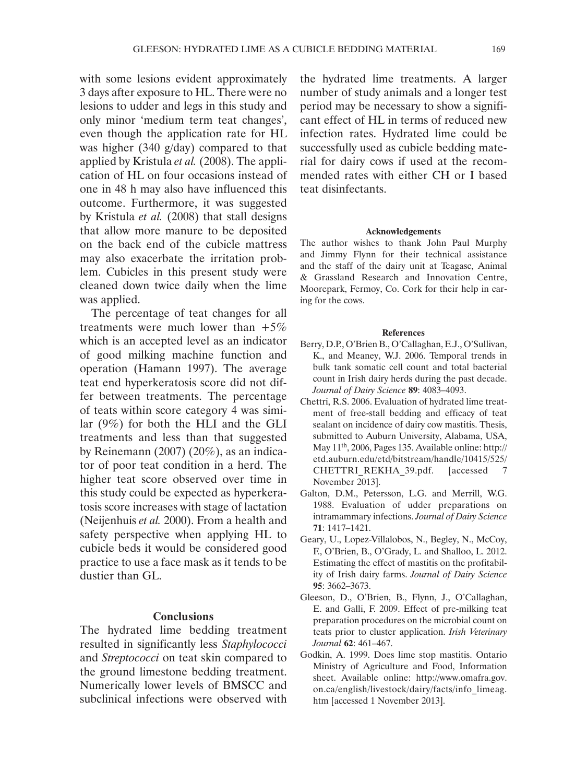with some lesions evident approximately 3 days after exposure to HL. There were no lesions to udder and legs in this study and only minor 'medium term teat changes', even though the application rate for HL was higher (340 g/day) compared to that applied by Kristula *et al.* (2008). The application of HL on four occasions instead of one in 48 h may also have influenced this outcome. Furthermore, it was suggested by Kristula *et al.* (2008) that stall designs that allow more manure to be deposited on the back end of the cubicle mattress may also exacerbate the irritation problem. Cubicles in this present study were cleaned down twice daily when the lime was applied.

The percentage of teat changes for all treatments were much lower than  $+5\%$ which is an accepted level as an indicator of good milking machine function and operation (Hamann 1997). The average teat end hyperkeratosis score did not differ between treatments. The percentage of teats within score category 4 was similar (9%) for both the HLI and the GLI treatments and less than that suggested by Reinemann (2007) (20%), as an indicator of poor teat condition in a herd. The higher teat score observed over time in this study could be expected as hyperkeratosis score increases with stage of lactation (Neijenhuis *et al.* 2000). From a health and safety perspective when applying HL to cubicle beds it would be considered good practice to use a face mask as it tends to be dustier than GL.

## **Conclusions**

The hydrated lime bedding treatment resulted in significantly less *Staphylococci* and *Streptococci* on teat skin compared to the ground limestone bedding treatment. Numerically lower levels of BMSCC and subclinical infections were observed with

the hydrated lime treatments. A larger number of study animals and a longer test period may be necessary to show a significant effect of HL in terms of reduced new infection rates. Hydrated lime could be successfully used as cubicle bedding material for dairy cows if used at the recommended rates with either CH or I based teat disinfectants.

#### **Acknowledgements**

The author wishes to thank John Paul Murphy and Jimmy Flynn for their technical assistance and the staff of the dairy unit at Teagasc, Animal & Grassland Research and Innovation Centre, Moorepark, Fermoy, Co. Cork for their help in caring for the cows.

#### **References**

- Berry, D.P., O'Brien B., O'Callaghan, E.J., O'Sullivan, K., and Meaney, W.J. 2006. Temporal trends in bulk tank somatic cell count and total bacterial count in Irish dairy herds during the past decade. *Journal of Dairy Science* **89**: 4083–4093.
- Chettri, R.S. 2006. Evaluation of hydrated lime treatment of free-stall bedding and efficacy of teat sealant on incidence of dairy cow mastitis. Thesis, submitted to Auburn University, Alabama, USA, May 11th, 2006, Pages 135. Available online: [http://](http://etd.auburn.edu/etd/bitstream/handle/10415/525/CHETTRI_REKHA_39.pdf) [etd.auburn.edu/etd/bitstream/handle/10415/525/](http://etd.auburn.edu/etd/bitstream/handle/10415/525/CHETTRI_REKHA_39.pdf) [CHETTRI\\_REKHA\\_39.pdf](http://etd.auburn.edu/etd/bitstream/handle/10415/525/CHETTRI_REKHA_39.pdf). [accessed 7 November 2013].
- Galton, D.M., Petersson, L.G. and Merrill, W.G. 1988. Evaluation of udder preparations on intramammary infections. *Journal of Dairy Science* **71**: 1417–1421.
- Geary, U., Lopez-Villalobos, N., Begley, N., McCoy, F., O'Brien, B., O'Grady, L. and Shalloo, L. 2012. Estimating the effect of mastitis on the profitability of Irish dairy farms. *Journal of Dairy Science* **95**: 3662–3673.
- Gleeson, D., O'Brien, B., Flynn, J., O'Callaghan, E. and Galli, F. 2009. Effect of pre-milking teat preparation procedures on the microbial count on teats prior to cluster application. *Irish Veterinary Journal* **62**: 461–467.
- Godkin, A. 1999. Does lime stop mastitis. Ontario Ministry of Agriculture and Food, Information sheet. Available online: [http://www.omafra.gov.](http://www.omafra.gov.on.ca/english/livestock/dairy/facts/info_limeag.htm) [on.ca/english/livestock/dairy/facts/info\\_limeag.](http://www.omafra.gov.on.ca/english/livestock/dairy/facts/info_limeag.htm) [htm](http://www.omafra.gov.on.ca/english/livestock/dairy/facts/info_limeag.htm) [accessed 1 November 2013].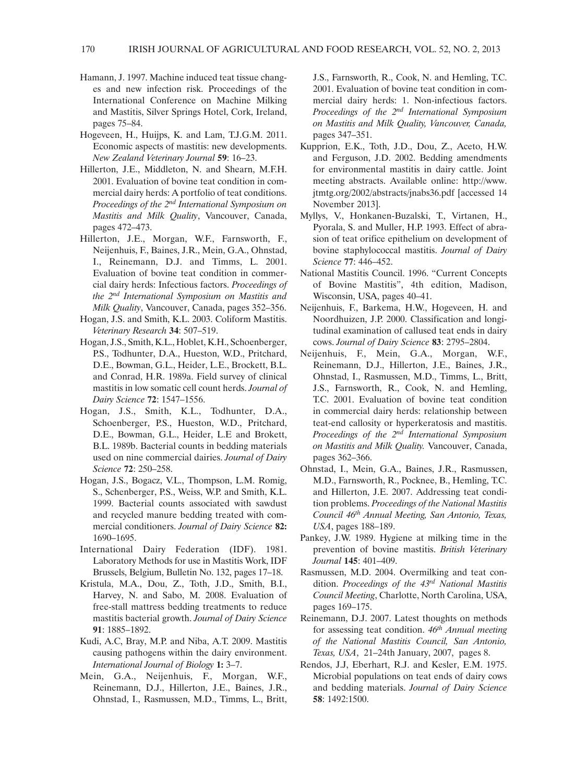- Hamann, J. 1997. Machine induced teat tissue changes and new infection risk. Proceedings of the International Conference on Machine Milking and Mastitis, Silver Springs Hotel, Cork, Ireland, pages 75–84.
- Hogeveen, H., Huijps, K. and Lam, T.J.G.M. 2011. Economic aspects of mastitis: new developments. *New Zealand Veterinary Journal* **59**: 16–23.
- Hillerton, J.E., Middleton, N. and Shearn, M.F.H. 2001. Evaluation of bovine teat condition in commercial dairy herds: A portfolio of teat conditions. *Proceedings of the 2nd International Symposium on Mastitis and Milk Quality*, Vancouver, Canada, pages 472–473.
- Hillerton, J.E., Morgan, W.F., Farnsworth, F., Neijenhuis, F., Baines, J.R., Mein, G.A., Ohnstad, I., Reinemann, D.J. and Timms, L. 2001. Evaluation of bovine teat condition in commercial dairy herds: Infectious factors. *Proceedings of the 2nd International Symposium on Mastitis and Milk Quality*, Vancouver, Canada, pages 352–356.
- Hogan, J.S. and Smith, K.L. 2003. Coliform Mastitis. *Veterinary Research* **34**: 507–519.
- Hogan, J.S., Smith, K.L., Hoblet, K.H., Schoenberger, P.S., Todhunter, D.A., Hueston, W.D., Pritchard, D.E., Bowman, G.L., Heider, L.E., Brockett, B.L. and Conrad, H.R. 1989a. Field survey of clinical mastitis in low somatic cell count herds. *Journal of Dairy Science* **72**: 1547–1556.
- Hogan, J.S., Smith, K.L., Todhunter, D.A., Schoenberger, P.S., Hueston, W.D., Pritchard, D.E., Bowman, G.L., Heider, L.E and Brokett, B.L. 1989b. Bacterial counts in bedding materials used on nine commercial dairies. *Journal of Dairy Science* **72**: 250–258.
- Hogan, J.S., Bogacz, V.L., Thompson, L.M. Romig, S., Schenberger, P.S., Weiss, W.P. and Smith, K.L. 1999. Bacterial counts associated with sawdust and recycled manure bedding treated with commercial conditioners. *Journal of Dairy Science* **82:** 1690–1695.
- International Dairy Federation (IDF). 1981. Laboratory Methods for use in Mastitis Work, IDF Brussels, Belgium, Bulletin No. 132, pages 17–18.
- Kristula, M.A., Dou, Z., Toth, J.D., Smith, B.I., Harvey, N. and Sabo, M. 2008. Evaluation of free-stall mattress bedding treatments to reduce mastitis bacterial growth. *Journal of Dairy Science* **91**: 1885–1892.
- Kudi, A.C, Bray, M.P. and Niba, A.T. 2009. Mastitis causing pathogens within the dairy environment. *International Journal of Biology* **1:** 3–7.
- Mein, G.A., Neijenhuis, F., Morgan, W.F., Reinemann, D.J., Hillerton, J.E., Baines, J.R., Ohnstad, I., Rasmussen, M.D., Timms, L., Britt,

J.S., Farnsworth, R., Cook, N. and Hemling, T.C. 2001. Evaluation of bovine teat condition in commercial dairy herds: 1. Non-infectious factors. *Proceedings of the 2nd International Symposium on Mastitis and Milk Quality, Vancouver, Canada,*  pages 347–351.

- Kupprion, E.K., Toth, J.D., Dou, Z., Aceto, H.W. and Ferguson, J.D. 2002. Bedding amendments for environmental mastitis in dairy cattle. Joint meeting abstracts. Available online: http://www. jtmtg.org/2002/abstracts/jnabs36.pdf [accessed 14 November 2013].
- Myllys, V., Honkanen-Buzalski, T., Virtanen, H., Pyorala, S. and Muller, H.P. 1993. Effect of abrasion of teat orifice epithelium on development of bovine staphylococcal mastitis. *Journal of Dairy Science* **77**: 446–452.
- National Mastitis Council. 1996. "Current Concepts of Bovine Mastitis", 4th edition, Madison, Wisconsin, USA, pages 40–41.
- Neijenhuis, F., Barkema, H.W., Hogeveen, H. and Noordhuizen, J.P. 2000. Classification and longitudinal examination of callused teat ends in dairy cows. *Journal of Dairy Science* **83**: 2795–2804.
- Neijenhuis, F., Mein, G.A., Morgan, W.F., Reinemann, D.J., Hillerton, J.E., Baines, J.R., Ohnstad, I., Rasmussen, M.D., Timms, L., Britt, J.S., Farnsworth, R., Cook, N. and Hemling, T.C. 2001. Evaluation of bovine teat condition in commercial dairy herds: relationship between teat-end callosity or hyperkeratosis and mastitis. *Proceedings of the 2nd International Symposium on Mastitis and Milk Quality.* Vancouver, Canada, pages 362–366.
- Ohnstad, I., Mein, G.A., Baines, J.R., Rasmussen, M.D., Farnsworth, R., Pocknee, B., Hemling, T.C. and Hillerton, J.E. 2007. Addressing teat condition problems. *Proceedings of the National Mastitis Council 46th Annual Meeting, San Antonio, Texas, USA*, pages 188–189.
- Pankey, J.W. 1989. Hygiene at milking time in the prevention of bovine mastitis. *British Veterinary Journal* **145**: 401–409.
- Rasmussen, M.D. 2004. Overmilking and teat condition. *Proceedings of the 43rd National Mastitis Council Meeting*, Charlotte, North Carolina, USA, pages 169–175.
- Reinemann, D.J. 2007. Latest thoughts on methods for assessing teat condition. *46th Annual meeting of the National Mastitis Council, San Antonio, Texas, USA*, 21–24th January, 2007, pages 8.
- Rendos, J.J, Eberhart, R.J. and Kesler, E.M. 1975. Microbial populations on teat ends of dairy cows and bedding materials. *Journal of Dairy Science* **58**: 1492:1500.